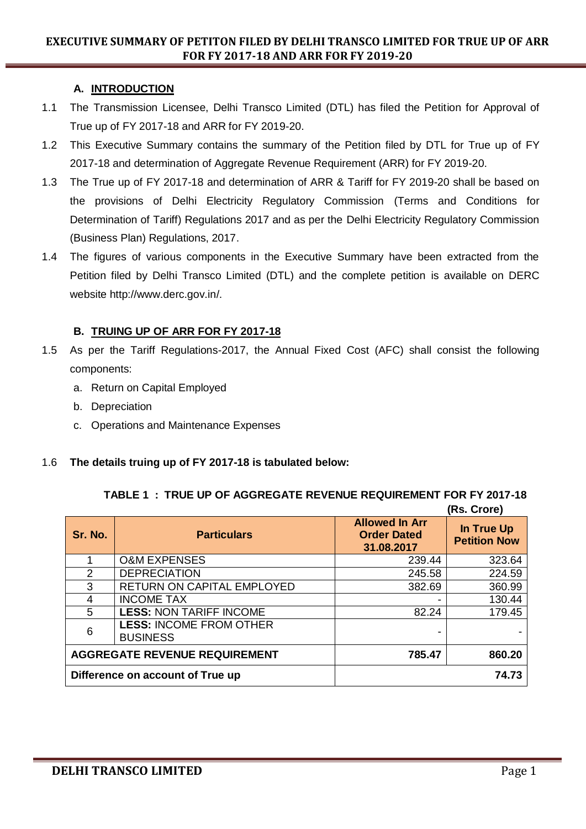# **EXECUTIVE SUMMARY OF PETITON FILED BY DELHI TRANSCO LIMITED FOR TRUE UP OF ARR FOR FY 2017-18 AND ARR FOR FY 2019-20**

# **A. INTRODUCTION**

- 1.1 The Transmission Licensee, Delhi Transco Limited (DTL) has filed the Petition for Approval of True up of FY 2017-18 and ARR for FY 2019-20.
- 1.2 This Executive Summary contains the summary of the Petition filed by DTL for True up of FY 2017-18 and determination of Aggregate Revenue Requirement (ARR) for FY 2019-20.
- 1.3 The True up of FY 2017-18 and determination of ARR & Tariff for FY 2019-20 shall be based on the provisions of Delhi Electricity Regulatory Commission (Terms and Conditions for Determination of Tariff) Regulations 2017 and as per the Delhi Electricity Regulatory Commission (Business Plan) Regulations, 2017.
- 1.4 The figures of various components in the Executive Summary have been extracted from the Petition filed by Delhi Transco Limited (DTL) and the complete petition is available on DERC website http://www.derc.gov.in/.

## **B. TRUING UP OF ARR FOR FY 2017-18**

- 1.5 As per the Tariff Regulations-2017, the Annual Fixed Cost (AFC) shall consist the following components:
	- a. Return on Capital Employed
	- b. Depreciation
	- c. Operations and Maintenance Expenses

#### 1.6 **The details truing up of FY 2017-18 is tabulated below:**

|                                      |                                                   |                                                           | ויטוס וטויון                      |
|--------------------------------------|---------------------------------------------------|-----------------------------------------------------------|-----------------------------------|
| Sr. No.                              | <b>Particulars</b>                                | <b>Allowed In Arr</b><br><b>Order Dated</b><br>31.08.2017 | In True Up<br><b>Petition Now</b> |
|                                      | <b>O&amp;M EXPENSES</b>                           | 239.44                                                    | 323.64                            |
| 2                                    | <b>DEPRECIATION</b>                               | 245.58                                                    | 224.59                            |
| 3                                    | RETURN ON CAPITAL EMPLOYED                        | 382.69                                                    | 360.99                            |
| 4                                    | <b>INCOME TAX</b>                                 | $\overline{\phantom{0}}$                                  | 130.44                            |
| 5                                    | <b>LESS: NON TARIFF INCOME</b>                    | 82.24                                                     | 179.45                            |
| 6                                    | <b>LESS: INCOME FROM OTHER</b><br><b>BUSINESS</b> |                                                           |                                   |
| <b>AGGREGATE REVENUE REQUIREMENT</b> |                                                   | 785.47                                                    | 860.20                            |
| Difference on account of True up     |                                                   |                                                           | 74.73                             |

| TABLE 1 : TRUE UP OF AGGREGATE REVENUE REQUIREMENT FOR FY 2017-18 |  |  |                   |  |
|-------------------------------------------------------------------|--|--|-------------------|--|
|                                                                   |  |  | $(Res$ $C$ ronel) |  |